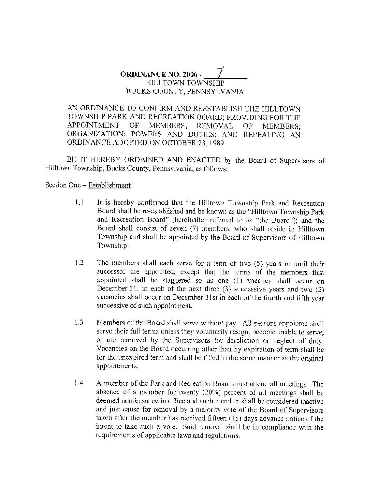## **ORDINANCE NO.** 2006 - *\_ \_\_.1 \_ \_ \_* HILLTOWN TOWNSHIP BUCKS COUNTY, PENNSYLVANIA

AN ORDINANCE TO CONFIRM AND REESTABLISH THE HILL TOWN TOWNSHIP PARK AND RECREATION BOARD; PROVIDING FOR THE APPOINTMENT OF MEMBERS; REMOVAL OF MEMBERS; ORGANIZATION; POWERS AND DUTIES; AND REPEALING AN ORDINANCE ADOPTED ON OCTOBER 23, 1989

BE IT HEREBY ORDAINED AND ENACTED by the Board of Supervisors of Hilltown Township, Bucks County, Pennsylvania, as follows:

Section One - Establishment

- 1.1 It is hereby confirmed that the Hilltown Township Park and Recreation Board shall be re-established and be known as the "Hilltown Township Park and Recreation Board" (hereinafter referred to as "the Board"); and the Board shall consist of seven (7) members, who shall reside in Hilltown Township and shall be appointed by the Board of Supervisors of Hilltown Township.
- 1.2 The members shall each serve for a term of five (5) years or until their successor are appointed, except that the terms of the members first appointed shall be staggered so as one (1) vacancy shall occur on December 31, in each of the next three (3) successive years and two (2) vacancies shall occur on December 31st in each of the fourth and fifth year successive of such appointment.
- 1.3 Members of the Board shall serve without pay. All persons appointed shall serve their full terms unless they voluntarily resign, become unable to serve, or are removed by the Supervisors for dereliction or neglect of duty. Vacancies on the Board occurring other than hy expiration of term shall be for the unexpired term and shall be filled in the same manner as the original appointments.
- 1.4 A member of the Park and Recreation Board must attend all meetings. The absence of a member for twenty (20%) percent of all meetings shall be deemed nonfeasance in office and such member shall be considered inactive and just cause for removal by a majority vote of the Board of Supervisors taken after the member has received fifteen (15) days advance notice of the intent to take such a vote. Said removal shall be in compliance with the requirements of applicable laws and regulations.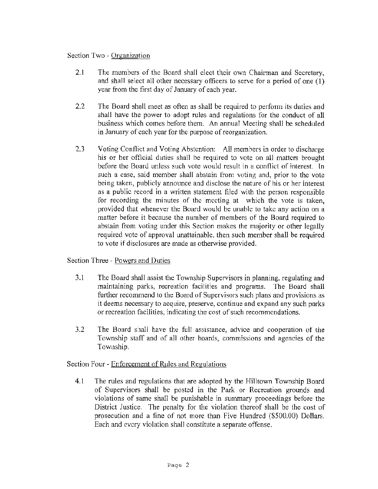## Section Two - Organization

- 2.1 The members of the Board shall elect their own Chairman and Secretary, and shall select all other necessary officers to serve for a period of one (1) year from the first day of January of each year.
- 2.2 The Board shall meet as often as shall be required to perform its duties and shall have the power to adopt rules and regulations for the conduct of all business which comes before them. An annual Meeting shall be scheduled in January of each year for the purpose of reorganization.
- 2.3 Voting Conflict and Voting Abstention: All members in order to discharge his or her official duties shall be required to vote on all matters brought before the Board unless such vote would result in a conflict of interest. In such a case, said member shall abstain from voting and, prior to the vote being taken, publicly announce and disclose the nature of his or her interest as a public record in a written statement filed with the person responsible for recording the minutes of the meeting at which the vote is taken, provided that whenever the Board would be unable to take any action on a matter before it because the number of members of the Board required to abstain from voting under this Section makes the majority or other legally required vote of approval unattainable, then such member shall be required to vote if disclosures are made as otherwise provided.

Section Three - Powers and Duties

- 3.1 The Board shall assist the Township Supervisors in plarming, regulating and maintaining parks, recreation facilities and programs. The Board shaH further recommend to the Board of Supervisors such plans and provisions as it deems necessary to acquire, preserve, continue and expand any such parks or recreation facilities, indicating the cost of such recommendations.
- 3.2 The Board shall have the full assistance, advice and cooperation of the Township staff and of all other boards, commissions and agencies of the Township.

Section Four - Enforcement of Rules and Regulations

4.1 The rules and regulations that are adopted hy the Hilltown Township Board of Supervisors shall be posted in the Park or Recreation grounds and violations of same shall be punishable in summary proceedings before the District Justice. The penalty for the violation thereof shall be the cost of prosecution and a fine of not more than Five Hundred (\$500.00) Dollars. Each and every violation shall constitute a separate offense.